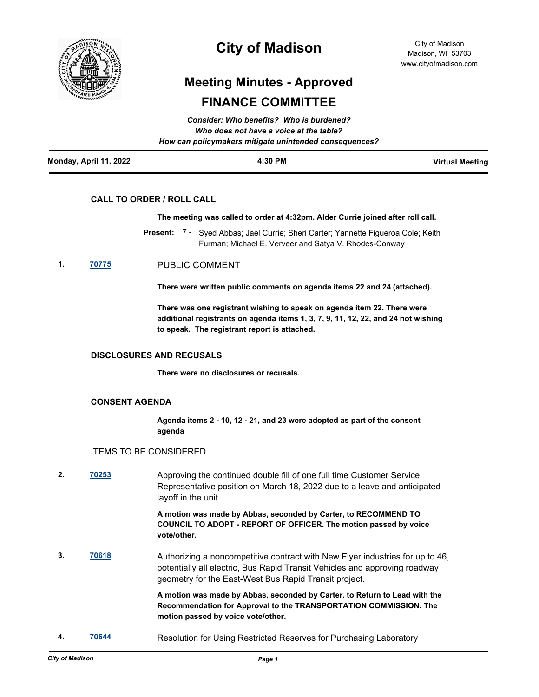

# **City of Madison**

# **Meeting Minutes - Approved FINANCE COMMITTEE**

|                        | Consider: Who benefits? Who is burdened?<br>Who does not have a voice at the table? |                        |
|------------------------|-------------------------------------------------------------------------------------|------------------------|
|                        | How can policymakers mitigate unintended consequences?                              |                        |
| Monday, April 11, 2022 | 4:30 PM                                                                             | <b>Virtual Meeting</b> |

## **CALL TO ORDER / ROLL CALL**

#### **The meeting was called to order at 4:32pm. Alder Currie joined after roll call.**

- Present: 7 Syed Abbas; Jael Currie; Sheri Carter; Yannette Figueroa Cole; Keith Furman; Michael E. Verveer and Satya V. Rhodes-Conway
- **1. [70775](http://madison.legistar.com/gateway.aspx?m=l&id=/matter.aspx?key=82789)** PUBLIC COMMENT

**There were written public comments on agenda items 22 and 24 (attached).** 

**There was one registrant wishing to speak on agenda item 22. There were additional registrants on agenda items 1, 3, 7, 9, 11, 12, 22, and 24 not wishing to speak. The registrant report is attached.**

#### **DISCLOSURES AND RECUSALS**

**There were no disclosures or recusals.**

### **CONSENT AGENDA**

**Agenda items 2 - 10, 12 - 21, and 23 were adopted as part of the consent agenda**

### ITEMS TO BE CONSIDERED

**2. [70253](http://madison.legistar.com/gateway.aspx?m=l&id=/matter.aspx?key=81352)** Approving the continued double fill of one full time Customer Service Representative position on March 18, 2022 due to a leave and anticipated layoff in the unit.

> **A motion was made by Abbas, seconded by Carter, to RECOMMEND TO COUNCIL TO ADOPT - REPORT OF OFFICER. The motion passed by voice vote/other.**

**3. [70618](http://madison.legistar.com/gateway.aspx?m=l&id=/matter.aspx?key=82649)** Authorizing a noncompetitive contract with New Flyer industries for up to 46, potentially all electric, Bus Rapid Transit Vehicles and approving roadway geometry for the East-West Bus Rapid Transit project.

> **A motion was made by Abbas, seconded by Carter, to Return to Lead with the Recommendation for Approval to the TRANSPORTATION COMMISSION. The motion passed by voice vote/other.**

**4. [70644](http://madison.legistar.com/gateway.aspx?m=l&id=/matter.aspx?key=82675)** Resolution for Using Restricted Reserves for Purchasing Laboratory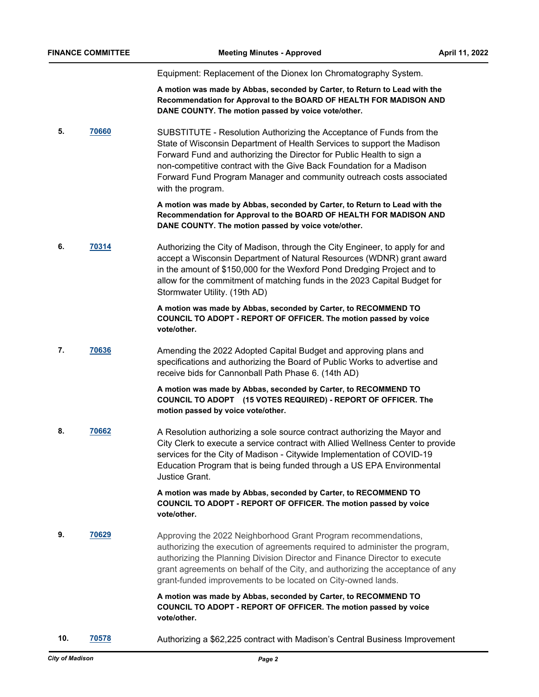Equipment: Replacement of the Dionex Ion Chromatography System.

**A motion was made by Abbas, seconded by Carter, to Return to Lead with the Recommendation for Approval to the BOARD OF HEALTH FOR MADISON AND DANE COUNTY. The motion passed by voice vote/other.**

**5. [70660](http://madison.legistar.com/gateway.aspx?m=l&id=/matter.aspx?key=82691)** SUBSTITUTE - Resolution Authorizing the Acceptance of Funds from the State of Wisconsin Department of Health Services to support the Madison Forward Fund and authorizing the Director for Public Health to sign a non-competitive contract with the Give Back Foundation for a Madison Forward Fund Program Manager and community outreach costs associated with the program.

> **A motion was made by Abbas, seconded by Carter, to Return to Lead with the Recommendation for Approval to the BOARD OF HEALTH FOR MADISON AND DANE COUNTY. The motion passed by voice vote/other.**

**6. [70314](http://madison.legistar.com/gateway.aspx?m=l&id=/matter.aspx?key=81396)** Authorizing the City of Madison, through the City Engineer, to apply for and accept a Wisconsin Department of Natural Resources (WDNR) grant award in the amount of \$150,000 for the Wexford Pond Dredging Project and to allow for the commitment of matching funds in the 2023 Capital Budget for Stormwater Utility. (19th AD)

> **A motion was made by Abbas, seconded by Carter, to RECOMMEND TO COUNCIL TO ADOPT - REPORT OF OFFICER. The motion passed by voice vote/other.**

**7. [70636](http://madison.legistar.com/gateway.aspx?m=l&id=/matter.aspx?key=82667)** Amending the 2022 Adopted Capital Budget and approving plans and specifications and authorizing the Board of Public Works to advertise and receive bids for Cannonball Path Phase 6. (14th AD)

> **A motion was made by Abbas, seconded by Carter, to RECOMMEND TO COUNCIL TO ADOPT (15 VOTES REQUIRED) - REPORT OF OFFICER. The motion passed by voice vote/other.**

**8. [70662](http://madison.legistar.com/gateway.aspx?m=l&id=/matter.aspx?key=82693)** A Resolution authorizing a sole source contract authorizing the Mayor and City Clerk to execute a service contract with Allied Wellness Center to provide services for the City of Madison - Citywide Implementation of COVID-19 Education Program that is being funded through a US EPA Environmental Justice Grant.

### **A motion was made by Abbas, seconded by Carter, to RECOMMEND TO COUNCIL TO ADOPT - REPORT OF OFFICER. The motion passed by voice vote/other.**

**9. [70629](http://madison.legistar.com/gateway.aspx?m=l&id=/matter.aspx?key=82660)** Approving the 2022 Neighborhood Grant Program recommendations, authorizing the execution of agreements required to administer the program, authorizing the Planning Division Director and Finance Director to execute grant agreements on behalf of the City, and authorizing the acceptance of any grant-funded improvements to be located on City-owned lands.

> **A motion was made by Abbas, seconded by Carter, to RECOMMEND TO COUNCIL TO ADOPT - REPORT OF OFFICER. The motion passed by voice vote/other.**

**10. [70578](http://madison.legistar.com/gateway.aspx?m=l&id=/matter.aspx?key=82609)** Authorizing a \$62,225 contract with Madison's Central Business Improvement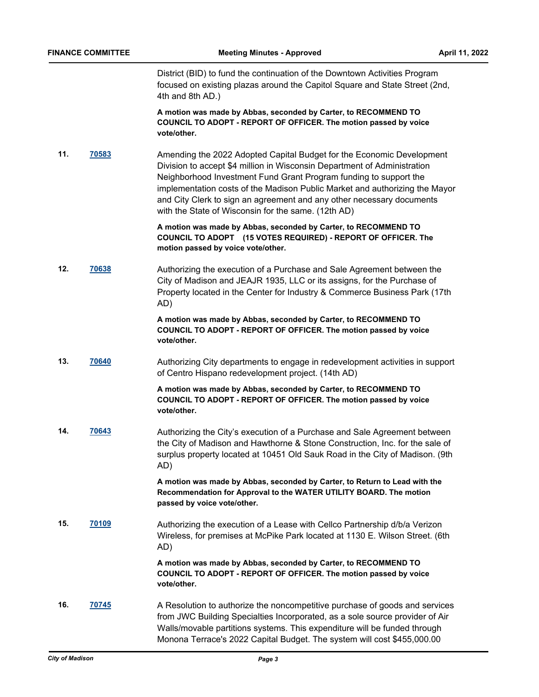District (BID) to fund the continuation of the Downtown Activities Program focused on existing plazas around the Capitol Square and State Street (2nd, 4th and 8th AD.)

**A motion was made by Abbas, seconded by Carter, to RECOMMEND TO COUNCIL TO ADOPT - REPORT OF OFFICER. The motion passed by voice vote/other.**

**11. [70583](http://madison.legistar.com/gateway.aspx?m=l&id=/matter.aspx?key=82614)** Amending the 2022 Adopted Capital Budget for the Economic Development Division to accept \$4 million in Wisconsin Department of Administration Neighborhood Investment Fund Grant Program funding to support the implementation costs of the Madison Public Market and authorizing the Mayor and City Clerk to sign an agreement and any other necessary documents with the State of Wisconsin for the same. (12th AD)

> **A motion was made by Abbas, seconded by Carter, to RECOMMEND TO COUNCIL TO ADOPT (15 VOTES REQUIRED) - REPORT OF OFFICER. The motion passed by voice vote/other.**

**12. [70638](http://madison.legistar.com/gateway.aspx?m=l&id=/matter.aspx?key=82669)** Authorizing the execution of a Purchase and Sale Agreement between the City of Madison and JEAJR 1935, LLC or its assigns, for the Purchase of Property located in the Center for Industry & Commerce Business Park (17th AD)

> **A motion was made by Abbas, seconded by Carter, to RECOMMEND TO COUNCIL TO ADOPT - REPORT OF OFFICER. The motion passed by voice vote/other.**

**13. [70640](http://madison.legistar.com/gateway.aspx?m=l&id=/matter.aspx?key=82671)** Authorizing City departments to engage in redevelopment activities in support of Centro Hispano redevelopment project. (14th AD)

> **A motion was made by Abbas, seconded by Carter, to RECOMMEND TO COUNCIL TO ADOPT - REPORT OF OFFICER. The motion passed by voice vote/other.**

**14. [70643](http://madison.legistar.com/gateway.aspx?m=l&id=/matter.aspx?key=82674)** Authorizing the City's execution of a Purchase and Sale Agreement between the City of Madison and Hawthorne & Stone Construction, Inc. for the sale of surplus property located at 10451 Old Sauk Road in the City of Madison. (9th AD)

> **A motion was made by Abbas, seconded by Carter, to Return to Lead with the Recommendation for Approval to the WATER UTILITY BOARD. The motion passed by voice vote/other.**

**15. [70109](http://madison.legistar.com/gateway.aspx?m=l&id=/matter.aspx?key=81289)** Authorizing the execution of a Lease with Cellco Partnership d/b/a Verizon Wireless, for premises at McPike Park located at 1130 E. Wilson Street. (6th AD)

> **A motion was made by Abbas, seconded by Carter, to RECOMMEND TO COUNCIL TO ADOPT - REPORT OF OFFICER. The motion passed by voice vote/other.**

**16. [70745](http://madison.legistar.com/gateway.aspx?m=l&id=/matter.aspx?key=82759)** A Resolution to authorize the noncompetitive purchase of goods and services from JWC Building Specialties Incorporated, as a sole source provider of Air Walls/movable partitions systems. This expenditure will be funded through Monona Terrace's 2022 Capital Budget. The system will cost \$455,000.00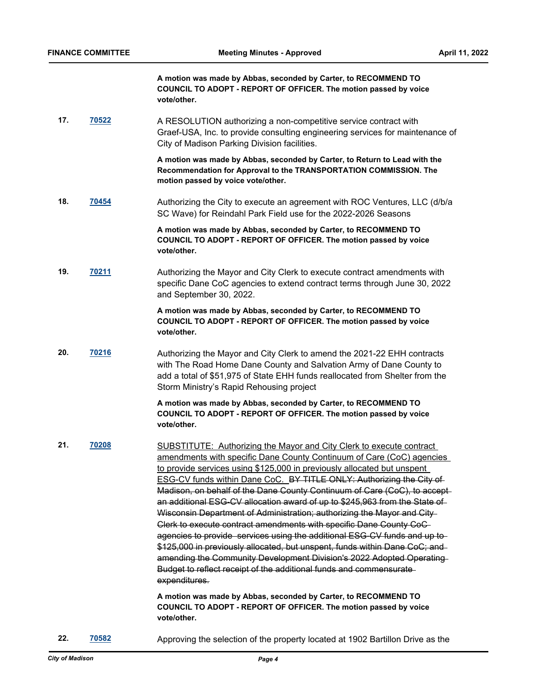**A motion was made by Abbas, seconded by Carter, to RECOMMEND TO COUNCIL TO ADOPT - REPORT OF OFFICER. The motion passed by voice vote/other.**

**17. [70522](http://madison.legistar.com/gateway.aspx?m=l&id=/matter.aspx?key=82574)** A RESOLUTION authorizing a non-competitive service contract with Graef-USA, Inc. to provide consulting engineering services for maintenance of City of Madison Parking Division facilities.

> **A motion was made by Abbas, seconded by Carter, to Return to Lead with the Recommendation for Approval to the TRANSPORTATION COMMISSION. The motion passed by voice vote/other.**

**18. [70454](http://madison.legistar.com/gateway.aspx?m=l&id=/matter.aspx?key=82517)** Authorizing the City to execute an agreement with ROC Ventures, LLC (d/b/a SC Wave) for Reindahl Park Field use for the 2022-2026 Seasons

> **A motion was made by Abbas, seconded by Carter, to RECOMMEND TO COUNCIL TO ADOPT - REPORT OF OFFICER. The motion passed by voice vote/other.**

**19. [70211](http://madison.legistar.com/gateway.aspx?m=l&id=/matter.aspx?key=81333)** Authorizing the Mayor and City Clerk to execute contract amendments with specific Dane CoC agencies to extend contract terms through June 30, 2022 and September 30, 2022.

> **A motion was made by Abbas, seconded by Carter, to RECOMMEND TO COUNCIL TO ADOPT - REPORT OF OFFICER. The motion passed by voice vote/other.**

**20. [70216](http://madison.legistar.com/gateway.aspx?m=l&id=/matter.aspx?key=81338)** Authorizing the Mayor and City Clerk to amend the 2021-22 EHH contracts with The Road Home Dane County and Salvation Army of Dane County to add a total of \$51,975 of State EHH funds reallocated from Shelter from the Storm Ministry's Rapid Rehousing project

> **A motion was made by Abbas, seconded by Carter, to RECOMMEND TO COUNCIL TO ADOPT - REPORT OF OFFICER. The motion passed by voice vote/other.**

**21. [70208](http://madison.legistar.com/gateway.aspx?m=l&id=/matter.aspx?key=81330)** SUBSTITUTE: Authorizing the Mayor and City Clerk to execute contract amendments with specific Dane County Continuum of Care (CoC) agencies to provide services using \$125,000 in previously allocated but unspent ESG-CV funds within Dane CoC. BY TITLE ONLY: Authorizing the City of Madison, on behalf of the Dane County Continuum of Care (CoC), to accept an additional ESG-CV allocation award of up to \$245,963 from the State of Wisconsin Department of Administration; authorizing the Mayor and City Clerk to execute contract amendments with specific Dane County CoC agencies to provide services using the additional ESG-CV funds and up to \$125,000 in previously allocated, but unspent, funds within Dane CoC; and amending the Community Development Division's 2022 Adopted Operating Budget to reflect receipt of the additional funds and commensurate expenditures.

**A motion was made by Abbas, seconded by Carter, to RECOMMEND TO COUNCIL TO ADOPT - REPORT OF OFFICER. The motion passed by voice vote/other.**

**22. [70582](http://madison.legistar.com/gateway.aspx?m=l&id=/matter.aspx?key=82613)** Approving the selection of the property located at 1902 Bartillon Drive as the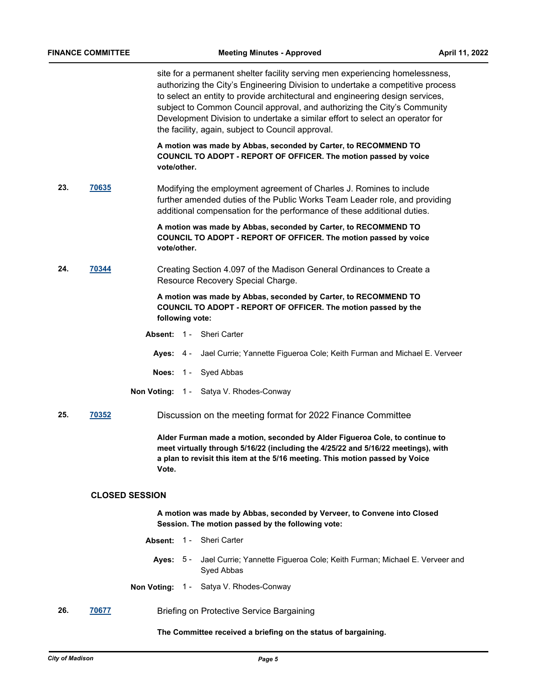site for a permanent shelter facility serving men experiencing homelessness, authorizing the City's Engineering Division to undertake a competitive process to select an entity to provide architectural and engineering design services, subject to Common Council approval, and authorizing the City's Community Development Division to undertake a similar effort to select an operator for the facility, again, subject to Council approval.

**A motion was made by Abbas, seconded by Carter, to RECOMMEND TO COUNCIL TO ADOPT - REPORT OF OFFICER. The motion passed by voice vote/other.**

**23. [70635](http://madison.legistar.com/gateway.aspx?m=l&id=/matter.aspx?key=82666)** Modifying the employment agreement of Charles J. Romines to include further amended duties of the Public Works Team Leader role, and providing additional compensation for the performance of these additional duties.

> **A motion was made by Abbas, seconded by Carter, to RECOMMEND TO COUNCIL TO ADOPT - REPORT OF OFFICER. The motion passed by voice vote/other.**

**24. [70344](http://madison.legistar.com/gateway.aspx?m=l&id=/matter.aspx?key=81418)** Creating Section 4.097 of the Madison General Ordinances to Create a Resource Recovery Special Charge.

> **A motion was made by Abbas, seconded by Carter, to RECOMMEND TO COUNCIL TO ADOPT - REPORT OF OFFICER. The motion passed by the following vote:**

- **Absent:** 1 Sheri Carter
	- **Ayes:** 4 Jael Currie; Yannette Figueroa Cole; Keith Furman and Michael E. Verveer
	- **Noes:** 1 Syed Abbas
- **Non Voting:** 1 Satya V. Rhodes-Conway
- **25. [70352](http://madison.legistar.com/gateway.aspx?m=l&id=/matter.aspx?key=81426)** Discussion on the meeting format for 2022 Finance Committee

**Alder Furman made a motion, seconded by Alder Figueroa Cole, to continue to meet virtually through 5/16/22 (including the 4/25/22 and 5/16/22 meetings), with a plan to revisit this item at the 5/16 meeting. This motion passed by Voice Vote.**

#### **CLOSED SESSION**

**A motion was made by Abbas, seconded by Verveer, to Convene into Closed Session. The motion passed by the following vote:**

- **Absent:** 1 Sheri Carter
	- **Ayes:** Jael Currie; Yannette Figueroa Cole; Keith Furman; Michael E. Verveer and Syed Abbas Aves: 5 -
- **Non Voting:** 1 Satya V. Rhodes-Conway
- **26. [70677](http://madison.legistar.com/gateway.aspx?m=l&id=/matter.aspx?key=82705)** Briefing on Protective Service Bargaining

#### **The Committee received a briefing on the status of bargaining.**